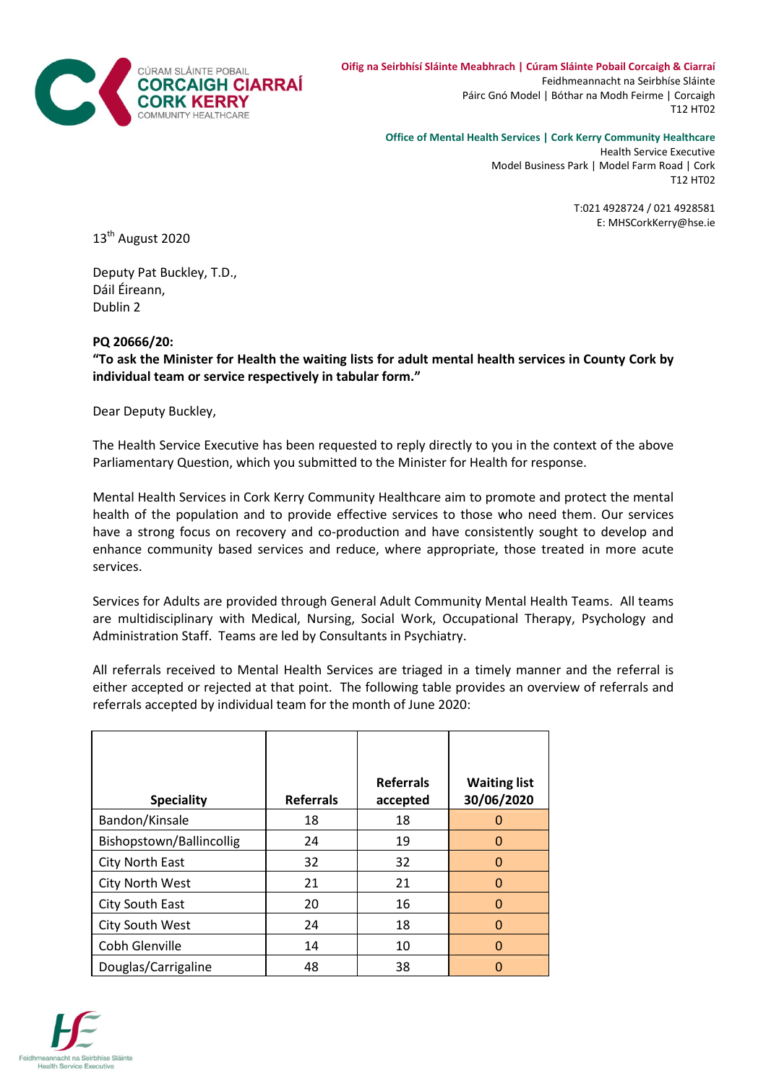

Office of Mental Health Services | Cork Kerry Community Healthcare

Health Service Executive Model Business Park | Model Farm Road | Cork T12 HT02

> T:021 4928724 / 021 4928581 E: MHSCorkKerry@hse.ie

13<sup>th</sup> August 2020

Deputy Pat Buckley, T.D., Dáil Éireann, Dublin 2

PQ 20666/20:

"To ask the Minister for Health the waiting lists for adult mental health services in County Cork by individual team or service respectively in tabular form."

Dear Deputy Buckley,

The Health Service Executive has been requested to reply directly to you in the context of the above Parliamentary Question, which you submitted to the Minister for Health for response.

Mental Health Services in Cork Kerry Community Healthcare aim to promote and protect the mental health of the population and to provide effective services to those who need them. Our services have a strong focus on recovery and co-production and have consistently sought to develop and enhance community based services and reduce, where appropriate, those treated in more acute services.

Services for Adults are provided through General Adult Community Mental Health Teams. All teams are multidisciplinary with Medical, Nursing, Social Work, Occupational Therapy, Psychology and Administration Staff. Teams are led by Consultants in Psychiatry.

All referrals received to Mental Health Services are triaged in a timely manner and the referral is either accepted or rejected at that point. The following table provides an overview of referrals and referrals accepted by individual team for the month of June 2020:

| <b>Speciality</b>        | <b>Referrals</b> | <b>Referrals</b><br>accepted | <b>Waiting list</b><br>30/06/2020 |
|--------------------------|------------------|------------------------------|-----------------------------------|
| Bandon/Kinsale           | 18               | 18                           | 0                                 |
| Bishopstown/Ballincollig | 24               | 19                           | 0                                 |
| City North East          | 32               | 32                           | 0                                 |
| City North West          | 21               | 21                           | 0                                 |
| City South East          | 20               | 16                           | 0                                 |
| City South West          | 24               | 18                           | 0                                 |
| Cobh Glenville           | 14               | 10                           | O                                 |
| Douglas/Carrigaline      | 48               | 38                           | O                                 |